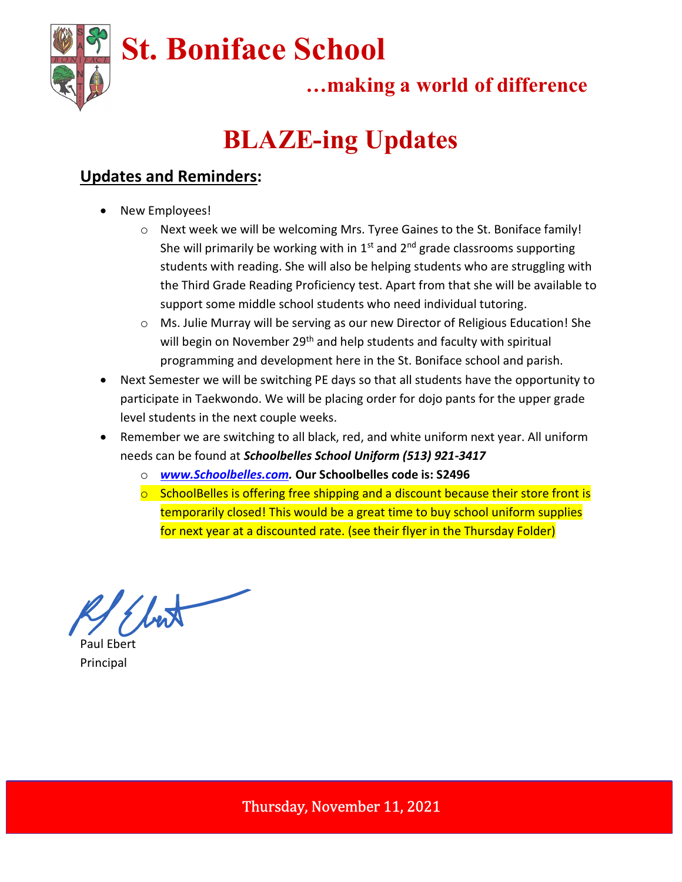

…making a world of difference

## BLAZE-ing Updates

## Updates and Reminders:

- New Employees!
	- $\circ$  Next week we will be welcoming Mrs. Tyree Gaines to the St. Boniface family! She will primarily be working with in  $1<sup>st</sup>$  and  $2<sup>nd</sup>$  grade classrooms supporting students with reading. She will also be helping students who are struggling with the Third Grade Reading Proficiency test. Apart from that she will be available to support some middle school students who need individual tutoring.
	- o Ms. Julie Murray will be serving as our new Director of Religious Education! She will begin on November 29<sup>th</sup> and help students and faculty with spiritual programming and development here in the St. Boniface school and parish.
- Next Semester we will be switching PE days so that all students have the opportunity to participate in Taekwondo. We will be placing order for dojo pants for the upper grade level students in the next couple weeks.
- Remember we are switching to all black, red, and white uniform next year. All uniform needs can be found at Schoolbelles School Uniform (513) 921-3417
	- o www.Schoolbelles.com. Our Schoolbelles code is: S2496
	- $\circ$  SchoolBelles is offering free shipping and a discount because their store front is temporarily closed! This would be a great time to buy school uniform supplies for next year at a discounted rate. (see their flyer in the Thursday Folder)

Paul Ebert Principal